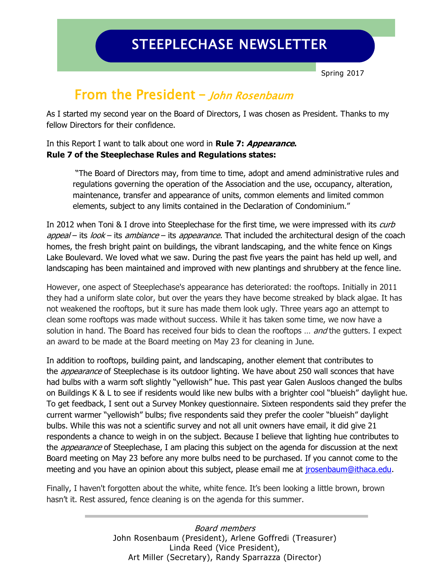# STEEPLECHASE NEWSLETTER

Spring 2017

### From the President **–** John Rosenbaum

As I started my second year on the Board of Directors, I was chosen as President. Thanks to my fellow Directors for their confidence.

#### In this Report I want to talk about one word in **Rule 7: Appearance. Rule 7 of the Steeplechase Rules and Regulations states:**

"The Board of Directors may, from time to time, adopt and amend administrative rules and regulations governing the operation of the Association and the use, occupancy, alteration, maintenance, transfer and appearance of units, common elements and limited common elements, subject to any limits contained in the Declaration of Condominium."

In 2012 when Toni & I drove into Steeplechase for the first time, we were impressed with its curb appeal – its look – its ambiance – its appearance. That included the architectural design of the coach homes, the fresh bright paint on buildings, the vibrant landscaping, and the white fence on Kings Lake Boulevard. We loved what we saw. During the past five years the paint has held up well, and landscaping has been maintained and improved with new plantings and shrubbery at the fence line.

However, one aspect of Steeplechase's appearance has deteriorated: the rooftops. Initially in 2011 they had a uniform slate color, but over the years they have become streaked by black algae. It has not weakened the rooftops, but it sure has made them look ugly. Three years ago an attempt to clean some rooftops was made without success. While it has taken some time, we now have a solution in hand. The Board has received four bids to clean the rooftops ... and the gutters. I expect an award to be made at the Board meeting on May 23 for cleaning in June.

In addition to rooftops, building paint, and landscaping, another element that contributes to the *appearance* of Steeplechase is its outdoor lighting. We have about 250 wall sconces that have had bulbs with a warm soft slightly "yellowish" hue. This past year Galen Ausloos changed the bulbs on Buildings K & L to see if residents would like new bulbs with a brighter cool "blueish" daylight hue. To get feedback, I sent out a Survey Monkey questionnaire. Sixteen respondents said they prefer the current warmer "yellowish" bulbs; five respondents said they prefer the cooler "blueish" daylight bulbs. While this was not a scientific survey and not all unit owners have email, it did give 21 respondents a chance to weigh in on the subject. Because I believe that lighting hue contributes to the *appearance* of Steeplechase, I am placing this subject on the agenda for discussion at the next Board meeting on May 23 before any more bulbs need to be purchased. If you cannot come to the meeting and you have an opinion about this subject, please email me at [jrosenbaum@ithaca.edu.](mailto:jrosenbaum@ithaca.edu)

Finally, I haven't forgotten about the white, white fence. It's been looking a little brown, brown hasn't it. Rest assured, fence cleaning is on the agenda for this summer.

> Board members John Rosenbaum (President), Arlene Goffredi (Treasurer) Linda Reed (Vice President), Art Miller (Secretary), Randy Sparrazza (Director)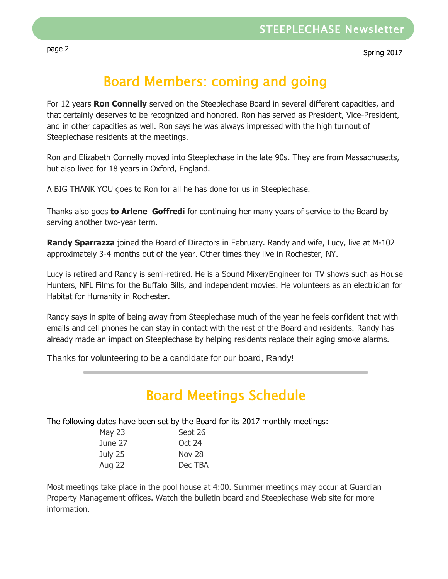## Board Members: coming and going

For 12 years **Ron Connelly** served on the Steeplechase Board in several different capacities, and that certainly deserves to be recognized and honored. Ron has served as President, Vice-President, and in other capacities as well. Ron says he was always impressed with the high turnout of Steeplechase residents at the meetings.

Ron and Elizabeth Connelly moved into Steeplechase in the late 90s. They are from Massachusetts, but also lived for 18 years in Oxford, England.

A BIG THANK YOU goes to Ron for all he has done for us in Steeplechase.

Thanks also goes **to Arlene Goffredi** for continuing her many years of service to the Board by serving another two-year term.

**Randy Sparrazza** joined the Board of Directors in February. Randy and wife, Lucy, live at M-102 approximately 3-4 months out of the year. Other times they live in Rochester, NY.

Lucy is retired and Randy is semi-retired. He is a Sound Mixer/Engineer for TV shows such as House Hunters, NFL Films for the Buffalo Bills, and independent movies. He volunteers as an electrician for Habitat for Humanity in Rochester.

Randy says in spite of being away from Steeplechase much of the year he feels confident that with emails and cell phones he can stay in contact with the rest of the Board and residents. Randy has already made an impact on Steeplechase by helping residents replace their aging smoke alarms.

Thanks for volunteering to be a candidate for our board, Randy!

### Board Meetings Schedule

The following dates have been set by the Board for its 2017 monthly meetings:

| <b>May 23</b> | Sept 26       |
|---------------|---------------|
| June 27       | Oct 24        |
| July 25       | <b>Nov 28</b> |
| <b>Aug 22</b> | Dec TBA       |

Most meetings take place in the pool house at 4:00. Summer meetings may occur at Guardian Property Management offices. Watch the bulletin board and Steeplechase Web site for more information.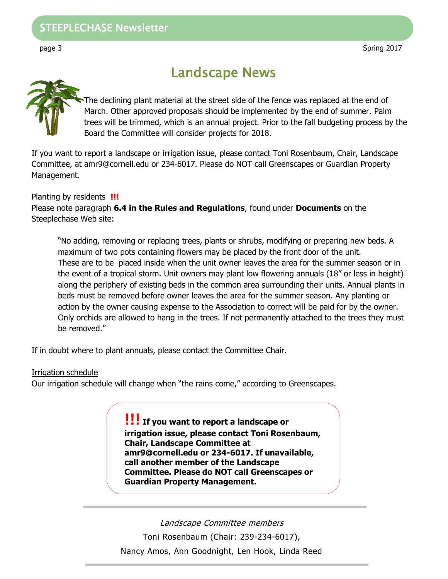### STEEPLECHASE Newsletter Landscape News

The declining plant material at the street side of the fence was replaced at the end of March. Other approved proposals should be implemented by the end of summer. Palm trees will be trimmed, which is an annual project. Prior to the fall budgeting process by the Board the Committee will consider projects for 2018.

If you want to report a landscape or irrigation issue, please contact Toni Rosenbaum, Chair, Landscape Committee, at amr9@cornell.edu or 234-6017. Please do NOT call Greenscapes or Guardian Property Management.

#### Planting by residents **!!!**

Please note paragraph **6.4 in the Rules and Regulations**, found under **Documents** on the Steeplechase Web site:

"No adding, removing or replacing trees, plants or shrubs, modifying or preparing new beds. A maximum of two pots containing flowers may be placed by the front door of the unit. These are to be placed inside when the unit owner leaves the area for the summer season or in the event of a tropical storm. Unit owners may plant low flowering annuals (18" or less in height) along the periphery of existing beds in the common area surrounding their units. Annual plants in beds must be removed before owner leaves the area for the summer season. Any planting or action by the owner causing expense to the Association to correct will be paid for by the owner. Only orchids are allowed to hang in the trees. If not permanently attached to the trees they must be removed."

If in doubt where to plant annuals, please contact the Committee Chair.

#### Irrigation schedule

Our irrigation schedule will change when "the rains come," according to Greenscapes.

**!!! If you want to report a landscape or irrigation issue, please contact Toni Rosenbaum, Chair, Landscape Committee at amr9@cornell.edu or 234-6017. If unavailable, call another member of the Landscape Committee. Please do NOT call Greenscapes or Guardian Property Management.**

Landscape Committee members Toni Rosenbaum (Chair: 239-234-6017), Nancy Amos, Ann Goodnight, Len Hook, Linda Reed